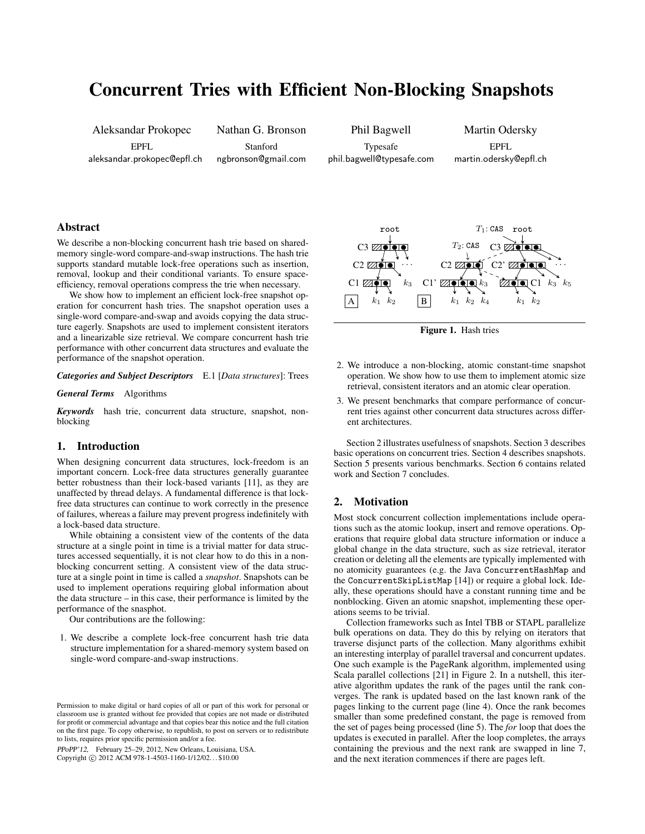# Concurrent Tries with Efficient Non-Blocking Snapshots

Aleksandar Prokopec EPFL aleksandar.prokopec@epfl.ch

Nathan G. Bronson Stanford ngbronson@gmail.com

Phil Bagwell Typesafe phil.bagwell@typesafe.com

Martin Odersky EPFL martin.odersky@epfl.ch

# Abstract

We describe a non-blocking concurrent hash trie based on sharedmemory single-word compare-and-swap instructions. The hash trie supports standard mutable lock-free operations such as insertion, removal, lookup and their conditional variants. To ensure spaceefficiency, removal operations compress the trie when necessary.

We show how to implement an efficient lock-free snapshot operation for concurrent hash tries. The snapshot operation uses a single-word compare-and-swap and avoids copying the data structure eagerly. Snapshots are used to implement consistent iterators and a linearizable size retrieval. We compare concurrent hash trie performance with other concurrent data structures and evaluate the performance of the snapshot operation.

*Categories and Subject Descriptors* E.1 [*Data structures*]: Trees

*General Terms* Algorithms

*Keywords* hash trie, concurrent data structure, snapshot, nonblocking

#### 1. Introduction

When designing concurrent data structures, lock-freedom is an important concern. Lock-free data structures generally guarantee better robustness than their lock-based variants [11], as they are unaffected by thread delays. A fundamental difference is that lockfree data structures can continue to work correctly in the presence of failures, whereas a failure may prevent progress indefinitely with a lock-based data structure.

While obtaining a consistent view of the contents of the data structure at a single point in time is a trivial matter for data structures accessed sequentially, it is not clear how to do this in a nonblocking concurrent setting. A consistent view of the data structure at a single point in time is called a *snapshot*. Snapshots can be used to implement operations requiring global information about the data structure – in this case, their performance is limited by the performance of the snasphot.

Our contributions are the following:

1. We describe a complete lock-free concurrent hash trie data structure implementation for a shared-memory system based on single-word compare-and-swap instructions.

PPoPP'12, February 25–29, 2012, New Orleans, Louisiana, USA. Copyright © 2012 ACM 978-1-4503-1160-1/12/02... \$10.00

2. We introduce a non-blocking, atomic constant-time snapshot operation. We show how to use them to implement atomic size retrieval, consistent iterators and an atomic clear operation.

3. We present benchmarks that compare performance of concurrent tries against other concurrent data structures across different architectures.

Section 2 illustrates usefulness of snapshots. Section 3 describes basic operations on concurrent tries. Section 4 describes snapshots. Section 5 presents various benchmarks. Section 6 contains related work and Section 7 concludes.

# 2. Motivation

Most stock concurrent collection implementations include operations such as the atomic lookup, insert and remove operations. Operations that require global data structure information or induce a global change in the data structure, such as size retrieval, iterator creation or deleting all the elements are typically implemented with no atomicity guarantees (e.g. the Java ConcurrentHashMap and the ConcurrentSkipListMap [14]) or require a global lock. Ideally, these operations should have a constant running time and be nonblocking. Given an atomic snapshot, implementing these operations seems to be trivial.

Collection frameworks such as Intel TBB or STAPL parallelize bulk operations on data. They do this by relying on iterators that traverse disjunct parts of the collection. Many algorithms exhibit an interesting interplay of parallel traversal and concurrent updates. One such example is the PageRank algorithm, implemented using Scala parallel collections [21] in Figure 2. In a nutshell, this iterative algorithm updates the rank of the pages until the rank converges. The rank is updated based on the last known rank of the pages linking to the current page (line 4). Once the rank becomes smaller than some predefined constant, the page is removed from the set of pages being processed (line 5). The *for* loop that does the updates is executed in parallel. After the loop completes, the arrays containing the previous and the next rank are swapped in line 7, and the next iteration commences if there are pages left.



Permission to make digital or hard copies of all or part of this work for personal or classroom use is granted without fee provided that copies are not made or distributed for profit or commercial advantage and that copies bear this notice and the full citation on the first page. To copy otherwise, to republish, to post on servers or to redistribute to lists, requires prior specific permission and/or a fee.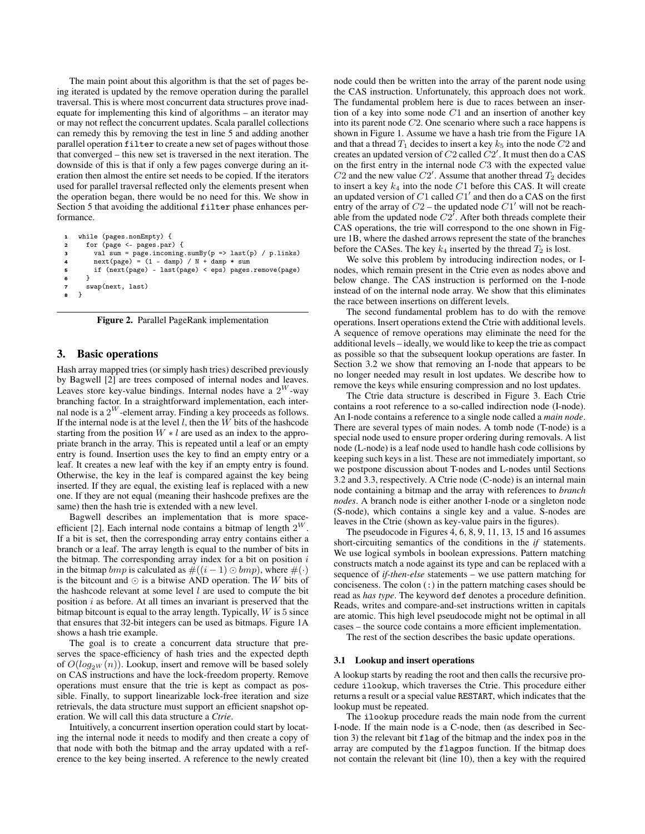The main point about this algorithm is that the set of pages being iterated is updated by the remove operation during the parallel traversal. This is where most concurrent data structures prove inadequate for implementing this kind of algorithms – an iterator may or may not reflect the concurrent updates. Scala parallel collections can remedy this by removing the test in line 5 and adding another parallel operation filter to create a new set of pages without those that converged – this new set is traversed in the next iteration. The downside of this is that if only a few pages converge during an iteration then almost the entire set needs to be copied. If the iterators used for parallel traversal reflected only the elements present when the operation began, there would be no need for this. We show in Section 5 that avoiding the additional filter phase enhances performance.

```
1 while (pages.nonEmpty) {
2 for (page \leftarrow pages.par) {<br>3 val sum = page.incoming.
         val sum = page.incoming.sumBy(p => last(p) / p.links)
4 next(page) = (1 - \text{damp}) / N + \text{damp} * \text{sum}5 if (next(page) - last(page) < eps) pages.remove(page)
6 }
7 swap(next, last)
    \mathbf{R}
```
Figure 2. Parallel PageRank implementation

# 3. Basic operations

Hash array mapped tries (or simply hash tries) described previously by Bagwell [2] are trees composed of internal nodes and leaves. Leaves store key-value bindings. Internal nodes have a  $2^W$ -way branching factor. In a straightforward implementation, each internal node is a  $2^W$ -element array. Finding a key proceeds as follows. If the internal node is at the level  $l$ , then the  $\overline{W}$  bits of the hashcode starting from the position  $W * l$  are used as an index to the appropriate branch in the array. This is repeated until a leaf or an empty entry is found. Insertion uses the key to find an empty entry or a leaf. It creates a new leaf with the key if an empty entry is found. Otherwise, the key in the leaf is compared against the key being inserted. If they are equal, the existing leaf is replaced with a new one. If they are not equal (meaning their hashcode prefixes are the same) then the hash trie is extended with a new level.

Bagwell describes an implementation that is more spaceefficient [2]. Each internal node contains a bitmap of length  $2^W$ . If a bit is set, then the corresponding array entry contains either a branch or a leaf. The array length is equal to the number of bits in the bitmap. The corresponding array index for a bit on position  $i$ in the bitmap  $bmp$  is calculated as  $\#((i-1) \odot bmp)$ , where  $\#(\cdot)$ is the bitcount and  $\odot$  is a bitwise AND operation. The W bits of the hashcode relevant at some level  $l$  are used to compute the bit position  $i$  as before. At all times an invariant is preserved that the bitmap bitcount is equal to the array length. Typically,  $W$  is 5 since that ensures that 32-bit integers can be used as bitmaps. Figure 1A shows a hash trie example.

The goal is to create a concurrent data structure that preserves the space-efficiency of hash tries and the expected depth of  $O(log_{2W}(n))$ . Lookup, insert and remove will be based solely on CAS instructions and have the lock-freedom property. Remove operations must ensure that the trie is kept as compact as possible. Finally, to support linearizable lock-free iteration and size retrievals, the data structure must support an efficient snapshot operation. We will call this data structure a *Ctrie*.

Intuitively, a concurrent insertion operation could start by locating the internal node it needs to modify and then create a copy of that node with both the bitmap and the array updated with a reference to the key being inserted. A reference to the newly created node could then be written into the array of the parent node using the CAS instruction. Unfortunately, this approach does not work. The fundamental problem here is due to races between an insertion of a key into some node C1 and an insertion of another key into its parent node C2. One scenario where such a race happens is shown in Figure 1. Assume we have a hash trie from the Figure 1A and that a thread  $T_1$  decides to insert a key  $k_5$  into the node  $C_2$  and creates an updated version of  $C2$  called  $\overline{C2}'$ . It must then do a CAS on the first entry in the internal node C3 with the expected value  $C2$  and the new value  $C2'$ . Assume that another thread  $T_2$  decides to insert a key  $k_4$  into the node  $C1$  before this CAS. It will create an updated version of  $C1$  called  $C1'$  and then do a CAS on the first entry of the array of  $C2$  – the updated node  $C1'$  will not be reachable from the updated node  $C2^7$ . After both threads complete their CAS operations, the trie will correspond to the one shown in Figure 1B, where the dashed arrows represent the state of the branches before the CASes. The key  $k_4$  inserted by the thread  $T_2$  is lost.

We solve this problem by introducing indirection nodes, or Inodes, which remain present in the Ctrie even as nodes above and below change. The CAS instruction is performed on the I-node instead of on the internal node array. We show that this eliminates the race between insertions on different levels.

The second fundamental problem has to do with the remove operations. Insert operations extend the Ctrie with additional levels. A sequence of remove operations may eliminate the need for the additional levels – ideally, we would like to keep the trie as compact as possible so that the subsequent lookup operations are faster. In Section 3.2 we show that removing an I-node that appears to be no longer needed may result in lost updates. We describe how to remove the keys while ensuring compression and no lost updates.

The Ctrie data structure is described in Figure 3. Each Ctrie contains a root reference to a so-called indirection node (I-node). An I-node contains a reference to a single node called a *main node*. There are several types of main nodes. A tomb node (T-node) is a special node used to ensure proper ordering during removals. A list node (L-node) is a leaf node used to handle hash code collisions by keeping such keys in a list. These are not immediately important, so we postpone discussion about T-nodes and L-nodes until Sections 3.2 and 3.3, respectively. A Ctrie node (C-node) is an internal main node containing a bitmap and the array with references to *branch nodes*. A branch node is either another I-node or a singleton node (S-node), which contains a single key and a value. S-nodes are leaves in the Ctrie (shown as key-value pairs in the figures).

The pseudocode in Figures 4, 6, 8, 9, 11, 13, 15 and 16 assumes short-circuiting semantics of the conditions in the *if* statements. We use logical symbols in boolean expressions. Pattern matching constructs match a node against its type and can be replaced with a sequence of *if-then-else* statements – we use pattern matching for conciseness. The colon (:) in the pattern matching cases should be read as *has type*. The keyword def denotes a procedure definition. Reads, writes and compare-and-set instructions written in capitals are atomic. This high level pseudocode might not be optimal in all cases – the source code contains a more efficient implementation.

The rest of the section describes the basic update operations.

#### 3.1 Lookup and insert operations

A lookup starts by reading the root and then calls the recursive procedure ilookup, which traverses the Ctrie. This procedure either returns a result or a special value RESTART, which indicates that the lookup must be repeated.

The ilookup procedure reads the main node from the current I-node. If the main node is a C-node, then (as described in Section 3) the relevant bit flag of the bitmap and the index pos in the array are computed by the flagpos function. If the bitmap does not contain the relevant bit (line 10), then a key with the required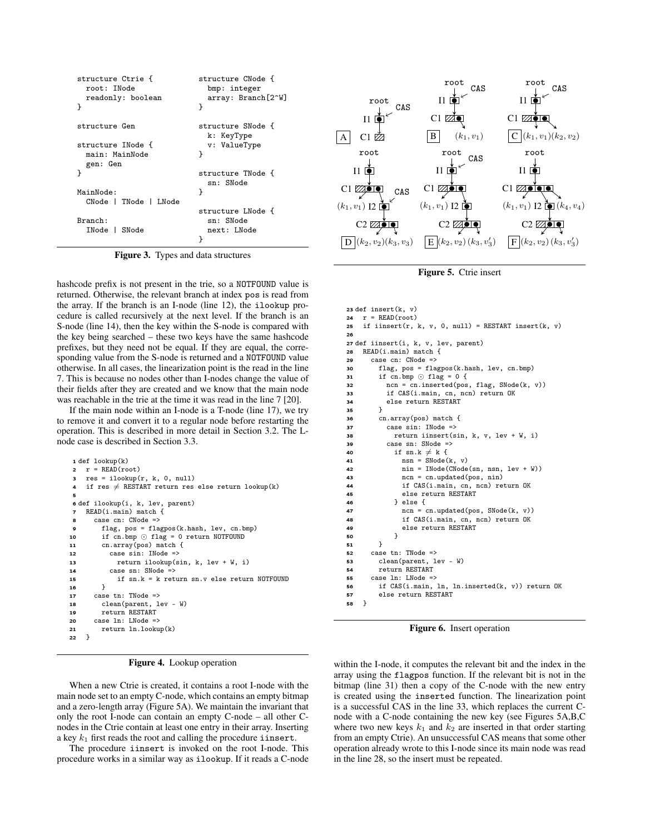| structure Ctrie {<br>root: INode<br>readonly: boolean<br>ł | structure CNode {<br>bmp: integer<br>array: Branch [2^W]<br>ł |
|------------------------------------------------------------|---------------------------------------------------------------|
| structure Gen                                              | structure SNode {<br>k: KeyType                               |
| structure INode {                                          | v: ValueType                                                  |
| main: MainNode                                             | ł                                                             |
| gen: Gen                                                   |                                                               |
| ł                                                          | structure TNode f<br>sn: SNode                                |
| MainNode:                                                  | ł                                                             |
| CNode   TNode   LNode                                      |                                                               |
|                                                            | structure LNode f                                             |
| Branch:                                                    | sn: SNode                                                     |
| INode   SNode                                              | next: LNode                                                   |
|                                                            | ι                                                             |

Figure 3. Types and data structures

hashcode prefix is not present in the trie, so a NOTFOUND value is returned. Otherwise, the relevant branch at index pos is read from the array. If the branch is an I-node (line 12), the ilookup procedure is called recursively at the next level. If the branch is an S-node (line 14), then the key within the S-node is compared with the key being searched – these two keys have the same hashcode prefixes, but they need not be equal. If they are equal, the corresponding value from the S-node is returned and a NOTFOUND value otherwise. In all cases, the linearization point is the read in the line 7. This is because no nodes other than I-nodes change the value of their fields after they are created and we know that the main node was reachable in the trie at the time it was read in the line 7 [20].

If the main node within an I-node is a T-node (line 17), we try to remove it and convert it to a regular node before restarting the operation. This is described in more detail in Section 3.2. The Lnode case is described in Section 3.3.

```
1 def lookup(k)
r = \overline{READ(root)}<br>3 res = ilookup(
    res = ilookup(r, k, 0, null)4 if res \neq RESTART return res else return lookup(k)
 5
 6 def ilookup(i, k, lev, parent)
7 READ(i.main) match {
 8 case cn: CNode =>
9 flag, pos = flagpos(k.hash, lev, cn.bmp)
10 if \text{c n·bmp} \odot \text{flag} = 0 \text{ return NOTFOUND}11 cn.array(pos) match {
12 case sin: INode =>
13 return ilookup(sin, k, lev + W, i)
14 case sn: SNode =>
15 if \sin k = k return \sin k else return NOTFOUND
16 }
17 case tn: TNode =>
18 clean(parent, lev - W)
19 return RESTART
20 case ln: LNode =>
21 return ln.lookup(k)<br>22 }
22 }
```
#### root  $11$  D  $C1 \n\mathbb{Z}$ CAS  $|A|$  $11$  o  $C1 \not\!\boxtimes\!\blacksquare$  $(k_1, v_1)$ CAS B  $11$  $C1 \not\!\boxtimes\!\bullet\blacksquare$  $C | (k_1, v_1) (k_2, v_2)$ CAS root  $I1$  o  $C1 \n *z*$  $(k_1, v_1)$  I2  $\blacksquare$  $C2 \overline{\boxtimes}$  ie  $(k_2, v_2)(k_3, v_3)$ CAS  $|D|$ root  $II<sub>B</sub>$ **C1 2200**  $(k_1, v_1)$  I2  $\bullet$  $C2 \n *z*$  $\overline{E}\left[ \left( k_{2},v_{2}\right) \left( k_{3},v_{3}^{\prime}\right) \right]$ CAS root  $11$  o C1 Moioiai  $(k_1, v_1)$  I2  $\blacksquare$   $(k_4, v_4)$  $C<sub>2</sub>$  $\overline{\mathrm{F}}\left[ \left( k_{2},v_{2}\right) \left( k_{3},v_{3}^{\prime}\right) \right.$

root

root

Figure 5. Ctrie insert

```
23 def insert(k, v)24 r = \text{READ(root)}25 if iinsert(r, k, v, 0, null) = RESTART insert(k, v)26
27 def iinsert(i, k, v, lev, parent)
28 READ(i.main) match {
29 case cn: CNode =>
30 flag, pos = flagpos(k.hash, lev, cn.bmp)
31 if cn.bmp \odot flag = 0 {
32 ncn = cn.inserted(pos, flag, SNode(k, v))
33 if CAS(i.main, cn, ncn) return OK
34 else return RESTART<br>3535 }
36 cn.array(pos) match {<br>37 case sin: INode =>
           case sin: INode =>
38 return iinsert(sin, k, v, lev + W, i)<br>39 case sn: SNode =>
39 case sn: SNode =><br>40 if sn.k \neq k {
             if sn.k \neq k {
\texttt{nsn} = \text{SNode}(k, v)42 nin = INode(CNode(sn, nsn, lev + W))<br>43 ncn = cn.updated(pos, nin)
                ncn = cn.updated(pos, nin)
44 if CAS(i.main, cn, ncn) return OK
45 else return RESTART
46 } else {
47 ncn = cn.updated(pos, SNode(k, v))<br>48 if CAS(i.main.cn.ncn) return OK
48 if CAS(i.main, cn, ncn) return OK<br>49 else return RESTART
49 else return RESTART<br>50 }
50 }
51 }
52 case tn: TNode =><br>53 clean(parent, 1)
53 clean(parent, lev - W)<br>54 return RESTART
54 return RESTART<br>55 case ln: LNode =
55 case ln: LNode =><br>56 if CAS(i.main,
56 if CAS(i.main, ln, ln.inserted(k, v)) return OK
    else return RESTART<br>}
58 }
```


Figure 4. Lookup operation

When a new Ctrie is created, it contains a root I-node with the main node set to an empty C-node, which contains an empty bitmap and a zero-length array (Figure 5A). We maintain the invariant that only the root I-node can contain an empty C-node – all other Cnodes in the Ctrie contain at least one entry in their array. Inserting a key  $k_1$  first reads the root and calling the procedure iinsert.

The procedure iinsert is invoked on the root I-node. This procedure works in a similar way as ilookup. If it reads a C-node

within the I-node, it computes the relevant bit and the index in the array using the flagpos function. If the relevant bit is not in the bitmap (line 31) then a copy of the C-node with the new entry is created using the inserted function. The linearization point is a successful CAS in the line 33, which replaces the current Cnode with a C-node containing the new key (see Figures 5A,B,C where two new keys  $k_1$  and  $k_2$  are inserted in that order starting from an empty Ctrie). An unsuccessful CAS means that some other operation already wrote to this I-node since its main node was read in the line 28, so the insert must be repeated.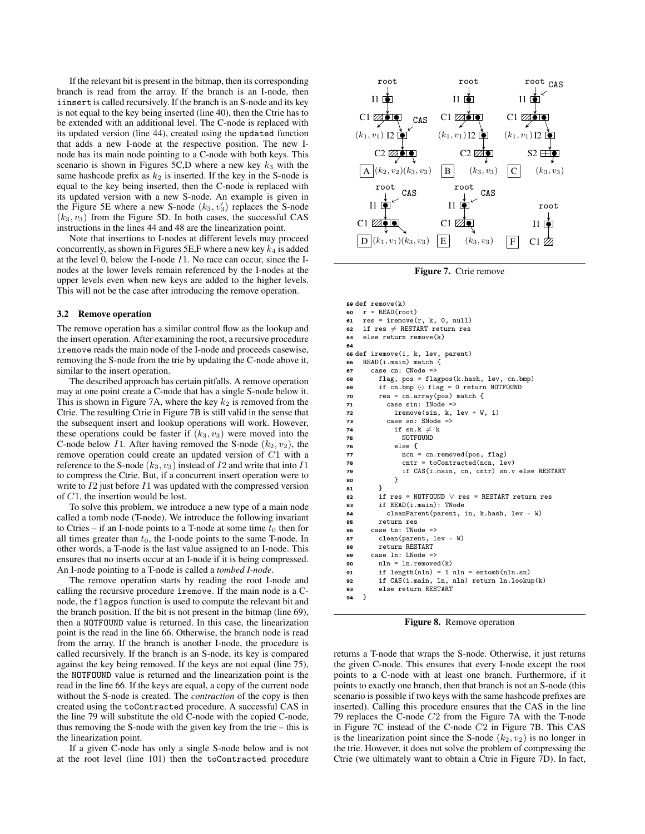If the relevant bit is present in the bitmap, then its corresponding branch is read from the array. If the branch is an I-node, then iinsert is called recursively. If the branch is an S-node and its key is not equal to the key being inserted (line 40), then the Ctrie has to be extended with an additional level. The C-node is replaced with its updated version (line 44), created using the updated function that adds a new I-node at the respective position. The new Inode has its main node pointing to a C-node with both keys. This scenario is shown in Figures 5C,D where a new key  $k_3$  with the same hashcode prefix as  $k_2$  is inserted. If the key in the S-node is equal to the key being inserted, then the C-node is replaced with its updated version with a new S-node. An example is given in the Figure 5E where a new S-node  $(k_3, v'_3)$  replaces the S-node  $(k_3, v_3)$  from the Figure 5D. In both cases, the successful CAS instructions in the lines 44 and 48 are the linearization point.

Note that insertions to I-nodes at different levels may proceed concurrently, as shown in Figures 5E,F where a new key  $k_4$  is added at the level 0, below the I-node  $I1$ . No race can occur, since the Inodes at the lower levels remain referenced by the I-nodes at the upper levels even when new keys are added to the higher levels. This will not be the case after introducing the remove operation.

#### 3.2 Remove operation

The remove operation has a similar control flow as the lookup and the insert operation. After examining the root, a recursive procedure iremove reads the main node of the I-node and proceeds casewise, removing the S-node from the trie by updating the C-node above it, similar to the insert operation.

The described approach has certain pitfalls. A remove operation may at one point create a C-node that has a single S-node below it. This is shown in Figure 7A, where the key  $k_2$  is removed from the Ctrie. The resulting Ctrie in Figure 7B is still valid in the sense that the subsequent insert and lookup operations will work. However, these operations could be faster if  $(k_3, v_3)$  were moved into the C-node below I1. After having removed the S-node  $(k_2, v_2)$ , the remove operation could create an updated version of C1 with a reference to the S-node  $(k_3,\,v_3)$  instead of  $I2$  and write that into  $I1$ to compress the Ctrie. But, if a concurrent insert operation were to write to  $I2$  just before  $I1$  was updated with the compressed version of C1, the insertion would be lost.

To solve this problem, we introduce a new type of a main node called a tomb node (T-node). We introduce the following invariant to Ctries – if an I-node points to a T-node at some time  $t_0$  then for all times greater than  $t_0$ , the I-node points to the same T-node. In other words, a T-node is the last value assigned to an I-node. This ensures that no inserts occur at an I-node if it is being compressed. An I-node pointing to a T-node is called a *tombed I-node*.

The remove operation starts by reading the root I-node and calling the recursive procedure iremove. If the main node is a Cnode, the flagpos function is used to compute the relevant bit and the branch position. If the bit is not present in the bitmap (line 69), then a NOTFOUND value is returned. In this case, the linearization point is the read in the line 66. Otherwise, the branch node is read from the array. If the branch is another I-node, the procedure is called recursively. If the branch is an S-node, its key is compared against the key being removed. If the keys are not equal (line 75), the NOTFOUND value is returned and the linearization point is the read in the line 66. If the keys are equal, a copy of the current node without the S-node is created. The *contraction* of the copy is then created using the toContracted procedure. A successful CAS in the line 79 will substitute the old C-node with the copied C-node, thus removing the S-node with the given key from the trie – this is the linearization point.

If a given C-node has only a single S-node below and is not at the root level (line 101) then the toContracted procedure



Figure 7. Ctrie remove

```
59 def remove(k)
60 r = \text{READ(root)}61 res = iremove(r, k, 0, null)62 if res \neq RESTART return res
63 else return remove(k)
64
65 def iremove(i, k, lev, parent)
66 READ(i.main) match {
67 case cn: CNode =>
68 flag, pos = flagpos(k.hash, lev, cn.bmp)
69 if cn.bmp \odot flag = 0 return NOTFOUND
70 res = cn.array(pos) match {
71 case sin: INode =>
72 iremove(sin, k, lev + W, i)
73 case sn: SNode =>
74 if \mathrm{sn.k} \neq k<br>75 NOTFOUND
              NOTFOUND
76 else {
77 ncn = cn.removed(pos, flag)
78 cntr = toContracted(ncn, lev)
79 if CAS(i.main, cn, cntr) sn.v else RESTART
80 }
81 }
82 if res = NOTFOUND \vee res = RESTART return res<br>83 if READ(i.main): TNode
        if READ(i.main): TNode
84 cleanParent(parent, in, k.hash, lev - W)
85 return res
86 case tn: TNode =>
87 clean(parent, lev - W)
88 return RESTART<br>89 case ln: LNode =
      case ln: LNode =>
90 n \ln = \ln.\text{removed}(k)<br>91 if length(nln) = 1
        if length(nln) = 1 nln = entomb(nln sn)92 if CAS(i.main, ln, nln) return ln.lookup(k)<br>93 else return RESTART
    else return RESTART
94 }
```
Figure 8. Remove operation

returns a T-node that wraps the S-node. Otherwise, it just returns the given C-node. This ensures that every I-node except the root points to a C-node with at least one branch. Furthermore, if it points to exactly one branch, then that branch is not an S-node (this scenario is possible if two keys with the same hashcode prefixes are inserted). Calling this procedure ensures that the CAS in the line 79 replaces the C-node C2 from the Figure 7A with the T-node in Figure 7C instead of the C-node C2 in Figure 7B. This CAS is the linearization point since the S-node  $(k_2, v_2)$  is no longer in the trie. However, it does not solve the problem of compressing the Ctrie (we ultimately want to obtain a Ctrie in Figure 7D). In fact,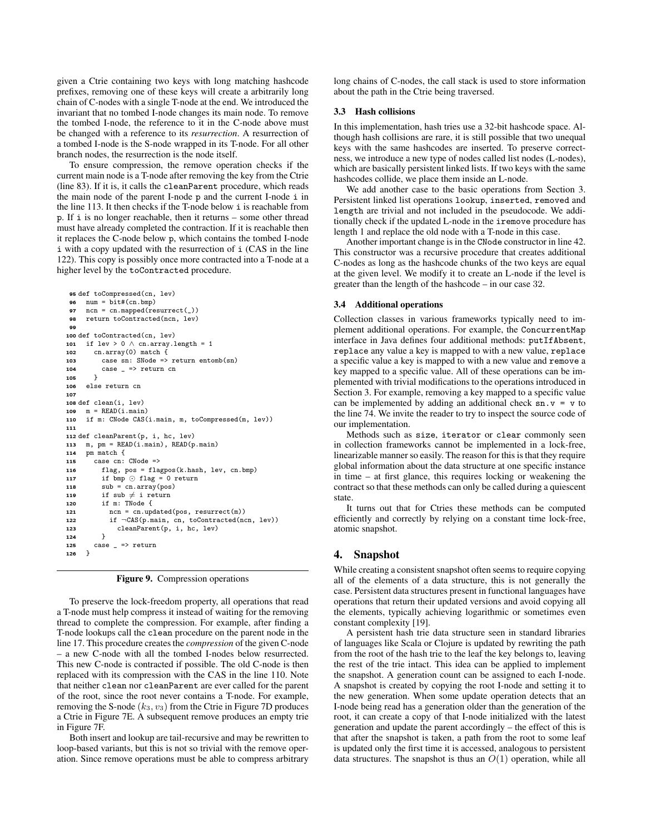given a Ctrie containing two keys with long matching hashcode prefixes, removing one of these keys will create a arbitrarily long chain of C-nodes with a single T-node at the end. We introduced the invariant that no tombed I-node changes its main node. To remove the tombed I-node, the reference to it in the C-node above must be changed with a reference to its *resurrection*. A resurrection of a tombed I-node is the S-node wrapped in its T-node. For all other branch nodes, the resurrection is the node itself.

To ensure compression, the remove operation checks if the current main node is a T-node after removing the key from the Ctrie (line 83). If it is, it calls the cleanParent procedure, which reads the main node of the parent I-node p and the current I-node i in the line 113. It then checks if the T-node below i is reachable from p. If i is no longer reachable, then it returns – some other thread must have already completed the contraction. If it is reachable then it replaces the C-node below p, which contains the tombed I-node i with a copy updated with the resurrection of i (CAS in the line 122). This copy is possibly once more contracted into a T-node at a higher level by the toContracted procedure.

```
95 def toCompressed(cn, lev)
 96 num = \text{bit#}(cn \cdot bmp)<br>97 ncn = cn \cdot mapped(rencn = cn.mapped(resurrect(_))
 98 return toContracted(ncn, lev)
 99
100 def toContracted(cn, lev)
101 if lev > 0 \land cn.array.length = 1
102 cn.array(0) match {
103 case sn: SNode => return entomb(sn)<br>104 case => return cn
         case \_ \Rightarrow return \ncan105 }
      else return cn
107
108 def clean(i, lev)<br>109 m = \text{READ}(i \text{ .} \text{main})m = \text{READ}(i.\text{main})110 if m: CNode CAS(i.main, m, toCompressed(m, lev))
111
112 def cleanParent(p, i, hc, lev)
113 m, pm = READ(i.main), READ(p.main)<br>114 pm match \{114 pm match {<br>115 case cn:
         case cn: CNode =>
116 flag, pos = flagpos(k.hash, lev, cn.bmp)<br>117 if bmp \odot flag = 0 return
            if bmp \odot flag = 0 return
118 sub = cn.array(pos)119 if sub \neq i return
120 if m: TNode {
121 ncn = cn.update(pos, resurrect(m))<br>122 if \neg CAS(n, main, cn, toContracted(no))if \negCAS(p.main, cn, toContracted(ncn, lev))
123 cleanParent(p, i, hc, lev)<br>124 }
124 }
125 case = > return<br>126 }
126 }
```
Figure 9. Compression operations

To preserve the lock-freedom property, all operations that read a T-node must help compress it instead of waiting for the removing thread to complete the compression. For example, after finding a T-node lookups call the clean procedure on the parent node in the line 17. This procedure creates the *compression* of the given C-node – a new C-node with all the tombed I-nodes below resurrected. This new C-node is contracted if possible. The old C-node is then replaced with its compression with the CAS in the line 110. Note that neither clean nor cleanParent are ever called for the parent of the root, since the root never contains a T-node. For example, removing the S-node  $(k_3, v_3)$  from the Ctrie in Figure 7D produces a Ctrie in Figure 7E. A subsequent remove produces an empty trie in Figure 7F.

Both insert and lookup are tail-recursive and may be rewritten to loop-based variants, but this is not so trivial with the remove operation. Since remove operations must be able to compress arbitrary long chains of C-nodes, the call stack is used to store information about the path in the Ctrie being traversed.

#### 3.3 Hash collisions

In this implementation, hash tries use a 32-bit hashcode space. Although hash collisions are rare, it is still possible that two unequal keys with the same hashcodes are inserted. To preserve correctness, we introduce a new type of nodes called list nodes (L-nodes), which are basically persistent linked lists. If two keys with the same hashcodes collide, we place them inside an L-node.

We add another case to the basic operations from Section 3. Persistent linked list operations lookup, inserted, removed and length are trivial and not included in the pseudocode. We additionally check if the updated L-node in the iremove procedure has length 1 and replace the old node with a T-node in this case.

Another important change is in the CNode constructor in line 42. This constructor was a recursive procedure that creates additional C-nodes as long as the hashcode chunks of the two keys are equal at the given level. We modify it to create an L-node if the level is greater than the length of the hashcode – in our case 32.

#### 3.4 Additional operations

Collection classes in various frameworks typically need to implement additional operations. For example, the ConcurrentMap interface in Java defines four additional methods: putIfAbsent, replace any value a key is mapped to with a new value, replace a specific value a key is mapped to with a new value and remove a key mapped to a specific value. All of these operations can be implemented with trivial modifications to the operations introduced in Section 3. For example, removing a key mapped to a specific value can be implemented by adding an additional check  $sn.v = v$  to the line 74. We invite the reader to try to inspect the source code of our implementation.

Methods such as size, iterator or clear commonly seen in collection frameworks cannot be implemented in a lock-free, linearizable manner so easily. The reason for this is that they require global information about the data structure at one specific instance in time – at first glance, this requires locking or weakening the contract so that these methods can only be called during a quiescent state.

It turns out that for Ctries these methods can be computed efficiently and correctly by relying on a constant time lock-free, atomic snapshot.

# 4. Snapshot

While creating a consistent snapshot often seems to require copying all of the elements of a data structure, this is not generally the case. Persistent data structures present in functional languages have operations that return their updated versions and avoid copying all the elements, typically achieving logarithmic or sometimes even constant complexity [19].

A persistent hash trie data structure seen in standard libraries of languages like Scala or Clojure is updated by rewriting the path from the root of the hash trie to the leaf the key belongs to, leaving the rest of the trie intact. This idea can be applied to implement the snapshot. A generation count can be assigned to each I-node. A snapshot is created by copying the root I-node and setting it to the new generation. When some update operation detects that an I-node being read has a generation older than the generation of the root, it can create a copy of that I-node initialized with the latest generation and update the parent accordingly – the effect of this is that after the snapshot is taken, a path from the root to some leaf is updated only the first time it is accessed, analogous to persistent data structures. The snapshot is thus an  $O(1)$  operation, while all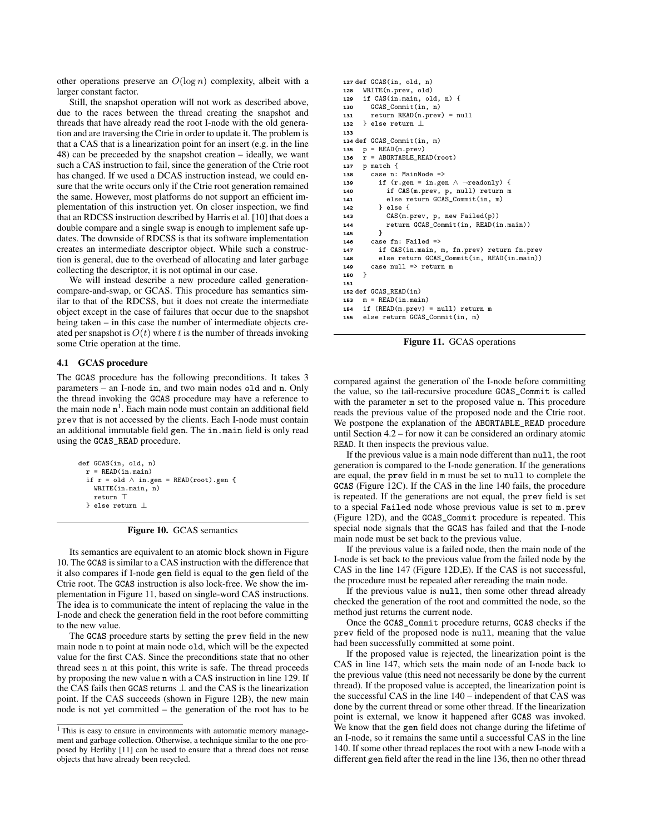other operations preserve an  $O(\log n)$  complexity, albeit with a larger constant factor.

Still, the snapshot operation will not work as described above, due to the races between the thread creating the snapshot and threads that have already read the root I-node with the old generation and are traversing the Ctrie in order to update it. The problem is that a CAS that is a linearization point for an insert (e.g. in the line 48) can be preceeded by the snapshot creation – ideally, we want such a CAS instruction to fail, since the generation of the Ctrie root has changed. If we used a DCAS instruction instead, we could ensure that the write occurs only if the Ctrie root generation remained the same. However, most platforms do not support an efficient implementation of this instruction yet. On closer inspection, we find that an RDCSS instruction described by Harris et al. [10] that does a double compare and a single swap is enough to implement safe updates. The downside of RDCSS is that its software implementation creates an intermediate descriptor object. While such a construction is general, due to the overhead of allocating and later garbage collecting the descriptor, it is not optimal in our case.

We will instead describe a new procedure called generationcompare-and-swap, or GCAS. This procedure has semantics similar to that of the RDCSS, but it does not create the intermediate object except in the case of failures that occur due to the snapshot being taken – in this case the number of intermediate objects created per snapshot is  $O(t)$  where t is the number of threads invoking some Ctrie operation at the time.

# 4.1 GCAS procedure

The GCAS procedure has the following preconditions. It takes 3 parameters – an I-node in, and two main nodes old and n. Only the thread invoking the GCAS procedure may have a reference to the main node  $n^1$ . Each main node must contain an additional field prev that is not accessed by the clients. Each I-node must contain an additional immutable field gen. The in.main field is only read using the GCAS\_READ procedure.

```
def GCAS(in, old, n)
  r = READ(in.mainloop)if r = old \land in-gen = READ(root) .gen {
    WRITE(in.main, n)
    return T} else return ⊥
```
#### Figure 10. GCAS semantics

Its semantics are equivalent to an atomic block shown in Figure 10. The GCAS is similar to a CAS instruction with the difference that it also compares if I-node gen field is equal to the gen field of the Ctrie root. The GCAS instruction is also lock-free. We show the implementation in Figure 11, based on single-word CAS instructions. The idea is to communicate the intent of replacing the value in the I-node and check the generation field in the root before committing to the new value.

The GCAS procedure starts by setting the prev field in the new main node n to point at main node old, which will be the expected value for the first CAS. Since the preconditions state that no other thread sees n at this point, this write is safe. The thread proceeds by proposing the new value n with a CAS instruction in line 129. If the CAS fails then GCAS returns  $\perp$  and the CAS is the linearization point. If the CAS succeeds (shown in Figure 12B), the new main node is not yet committed – the generation of the root has to be

```
127 def GCAS(in, old, n)<br>128 WRITE(n.prev. old)
      WRITE(n.prev, old)
129 if CAS(in.main, old, n) {
130 GCAS_Commit(in, n)
131 return READ(n.prev) = null
132 } else return ⊥
133
134 def GCAS_Commit(in, m)
135 p = READ(m.prev)
136 r = ABORTABLE_READ(root)
137 p match {
138 case n: MainNode =>
139 if (r.gen = in.gen \ \wedge \ \neg readonly) {
140 if CAS(m.prev, p, null) return m
141 else return GCAS_Commit(in, m)
142 } else {
143 CAS(m.prev, p, new Failed(p))
             return GCAS_Commit(in, READ(in.main))
145 }
146 case fn: Failed =><br>147 if CAS(in.main, 1
147 if CAS(in.main, m, fn.prev) return fn.prev<br>148 else return GCAS Commit(in. READ(in.main))
148 else return GCAS_Commit(in, READ(in.main))<br>149 case null => return m
        case null \Rightarrow return m
150 }
151
152 def GCAS_READ(in)
153 m = READ(in.mainloop)154 if (READ(m.prev) = null) return m<br>155 else return GCAS Commit(in, m)
     else return GCAS_Commit(in, m)
```


compared against the generation of the I-node before committing the value, so the tail-recursive procedure GCAS\_Commit is called with the parameter m set to the proposed value n. This procedure reads the previous value of the proposed node and the Ctrie root. We postpone the explanation of the ABORTABLE\_READ procedure until Section 4.2 – for now it can be considered an ordinary atomic READ. It then inspects the previous value.

If the previous value is a main node different than null, the root generation is compared to the I-node generation. If the generations are equal, the prev field in m must be set to null to complete the GCAS (Figure 12C). If the CAS in the line 140 fails, the procedure is repeated. If the generations are not equal, the prev field is set to a special Failed node whose previous value is set to m.prev (Figure 12D), and the GCAS\_Commit procedure is repeated. This special node signals that the GCAS has failed and that the I-node main node must be set back to the previous value.

If the previous value is a failed node, then the main node of the I-node is set back to the previous value from the failed node by the CAS in the line 147 (Figure 12D,E). If the CAS is not successful, the procedure must be repeated after rereading the main node.

If the previous value is null, then some other thread already checked the generation of the root and committed the node, so the method just returns the current node.

Once the GCAS\_Commit procedure returns, GCAS checks if the prev field of the proposed node is null, meaning that the value had been successfully committed at some point.

If the proposed value is rejected, the linearization point is the CAS in line 147, which sets the main node of an I-node back to the previous value (this need not necessarily be done by the current thread). If the proposed value is accepted, the linearization point is the successful CAS in the line 140 – independent of that CAS was done by the current thread or some other thread. If the linearization point is external, we know it happened after GCAS was invoked. We know that the gen field does not change during the lifetime of an I-node, so it remains the same until a successful CAS in the line 140. If some other thread replaces the root with a new I-node with a different gen field after the read in the line 136, then no other thread

<sup>&</sup>lt;sup>1</sup> This is easy to ensure in environments with automatic memory management and garbage collection. Otherwise, a technique similar to the one proposed by Herlihy [11] can be used to ensure that a thread does not reuse objects that have already been recycled.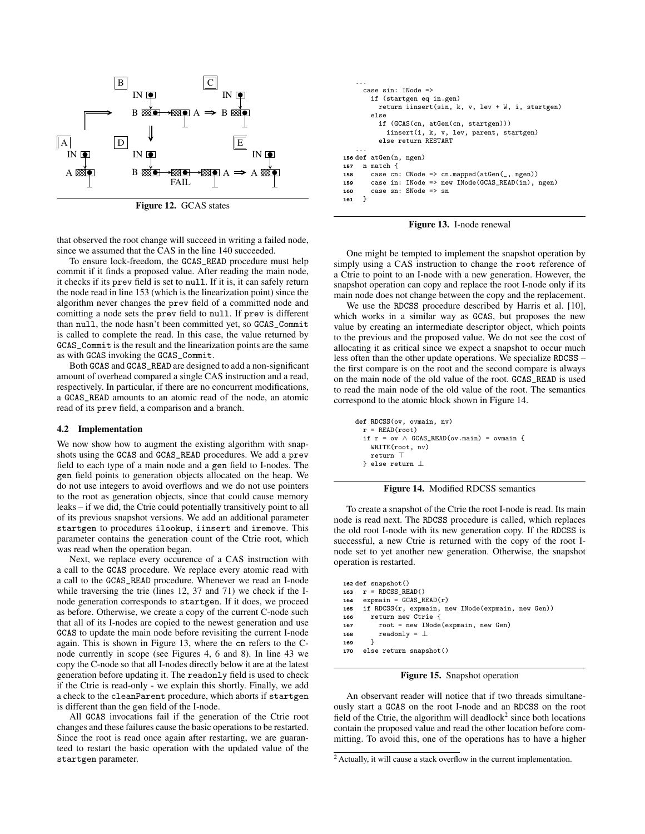

Figure 12. GCAS states

that observed the root change will succeed in writing a failed node, since we assumed that the CAS in the line 140 succeeded.

To ensure lock-freedom, the GCAS\_READ procedure must help commit if it finds a proposed value. After reading the main node, it checks if its prev field is set to null. If it is, it can safely return the node read in line 153 (which is the linearization point) since the algorithm never changes the prev field of a committed node and comitting a node sets the prev field to null. If prev is different than null, the node hasn't been committed yet, so GCAS\_Commit is called to complete the read. In this case, the value returned by GCAS\_Commit is the result and the linearization points are the same as with GCAS invoking the GCAS\_Commit.

Both GCAS and GCAS\_READ are designed to add a non-significant amount of overhead compared a single CAS instruction and a read, respectively. In particular, if there are no concurrent modifications, a GCAS\_READ amounts to an atomic read of the node, an atomic read of its prev field, a comparison and a branch.

#### 4.2 Implementation

We now show how to augment the existing algorithm with snapshots using the GCAS and GCAS\_READ procedures. We add a prev field to each type of a main node and a gen field to I-nodes. The gen field points to generation objects allocated on the heap. We do not use integers to avoid overflows and we do not use pointers to the root as generation objects, since that could cause memory leaks – if we did, the Ctrie could potentially transitively point to all of its previous snapshot versions. We add an additional parameter startgen to procedures ilookup, iinsert and iremove. This parameter contains the generation count of the Ctrie root, which was read when the operation began.

Next, we replace every occurence of a CAS instruction with a call to the GCAS procedure. We replace every atomic read with a call to the GCAS\_READ procedure. Whenever we read an I-node while traversing the trie (lines 12, 37 and 71) we check if the Inode generation corresponds to startgen. If it does, we proceed as before. Otherwise, we create a copy of the current C-node such that all of its I-nodes are copied to the newest generation and use GCAS to update the main node before revisiting the current I-node again. This is shown in Figure 13, where the cn refers to the Cnode currently in scope (see Figures 4, 6 and 8). In line 43 we copy the C-node so that all I-nodes directly below it are at the latest generation before updating it. The readonly field is used to check if the Ctrie is read-only - we explain this shortly. Finally, we add a check to the cleanParent procedure, which aborts if startgen is different than the gen field of the I-node.

All GCAS invocations fail if the generation of the Ctrie root changes and these failures cause the basic operations to be restarted. Since the root is read once again after restarting, we are guaranteed to restart the basic operation with the updated value of the startgen parameter.

| case $sin:$ INode $\Rightarrow$                                 |
|-----------------------------------------------------------------|
| if (startgen eq in.gen)                                         |
| return iinsert(sin, k, v, lev + W, i, startgen)                 |
| else                                                            |
| if (GCAS(cn, atGen(cn, startgen)))                              |
| iinsert(i, k, v, lev, parent, startgen)                         |
| else return RESTART                                             |
| .                                                               |
| 156 def atGen(n, ngen)                                          |
| $157$ n match f                                                 |
|                                                                 |
| case cn: $Chode \Rightarrow cn.append(atGen(\_ , ngen))$<br>158 |
| case in: INode => new INode(GCAS_READ(in), ngen)<br>159         |
| case $sn:$ SNode $\Rightarrow$ $sn$<br>160                      |
| ł<br>161                                                        |
|                                                                 |

Figure 13. I-node renewal

One might be tempted to implement the snapshot operation by simply using a CAS instruction to change the root reference of a Ctrie to point to an I-node with a new generation. However, the snapshot operation can copy and replace the root I-node only if its main node does not change between the copy and the replacement.

We use the RDCSS procedure described by Harris et al. [10], which works in a similar way as GCAS, but proposes the new value by creating an intermediate descriptor object, which points to the previous and the proposed value. We do not see the cost of allocating it as critical since we expect a snapshot to occur much less often than the other update operations. We specialize RDCSS – the first compare is on the root and the second compare is always on the main node of the old value of the root. GCAS\_READ is used to read the main node of the old value of the root. The semantics correspond to the atomic block shown in Figure 14.

```
def RDCSS(ov, ovmain, nv)
  r = \text{READ(root)}if r = ov \land GCAS\_READ(ov.mainloop) = ovmain {
    WRITE(root, nv)
    return T} else return ⊥
```


To create a snapshot of the Ctrie the root I-node is read. Its main node is read next. The RDCSS procedure is called, which replaces the old root I-node with its new generation copy. If the RDCSS is successful, a new Ctrie is returned with the copy of the root Inode set to yet another new generation. Otherwise, the snapshot operation is restarted.

|     | $162$ def snapshot $()$                           |
|-----|---------------------------------------------------|
|     | 163 $r = RDCSS READ()$                            |
| 164 | $expmain = GCAS\_READ(r)$                         |
| 165 | if RDCSS(r, expmain, new INode(expmain, new Gen)) |
| 166 | return new Ctrie f                                |
| 167 | root = new INode(expmain, new Gen)                |
| 168 | readonly = $\perp$                                |
| 169 |                                                   |
| 170 | else return snapshot()                            |
|     |                                                   |

Figure 15. Snapshot operation

An observant reader will notice that if two threads simultaneously start a GCAS on the root I-node and an RDCSS on the root field of the Ctrie, the algorithm will deadlock<sup>2</sup> since both locations contain the proposed value and read the other location before committing. To avoid this, one of the operations has to have a higher

<sup>&</sup>lt;sup>2</sup> Actually, it will cause a stack overflow in the current implementation.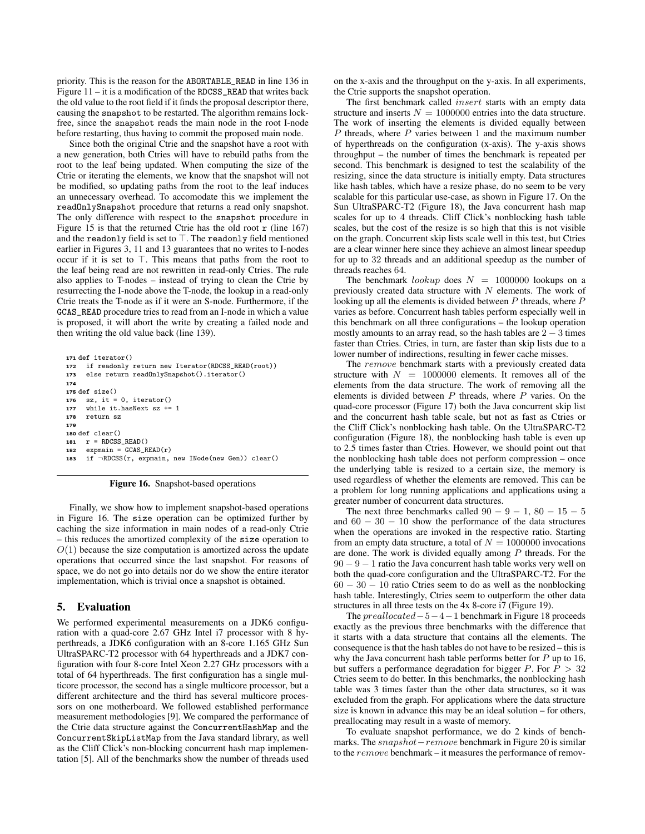priority. This is the reason for the ABORTABLE\_READ in line 136 in Figure 11 – it is a modification of the RDCSS\_READ that writes back the old value to the root field if it finds the proposal descriptor there, causing the snapshot to be restarted. The algorithm remains lockfree, since the snapshot reads the main node in the root I-node before restarting, thus having to commit the proposed main node.

Since both the original Ctrie and the snapshot have a root with a new generation, both Ctries will have to rebuild paths from the root to the leaf being updated. When computing the size of the Ctrie or iterating the elements, we know that the snapshot will not be modified, so updating paths from the root to the leaf induces an unnecessary overhead. To accomodate this we implement the readOnlySnapshot procedure that returns a read only snapshot. The only difference with respect to the snapshot procedure in Figure 15 is that the returned Ctrie has the old root  $r$  (line 167) and the readonly field is set to  $\top$ . The readonly field mentioned earlier in Figures 3, 11 and 13 guarantees that no writes to I-nodes occur if it is set to  $\top$ . This means that paths from the root to the leaf being read are not rewritten in read-only Ctries. The rule also applies to T-nodes – instead of trying to clean the Ctrie by resurrecting the I-node above the T-node, the lookup in a read-only Ctrie treats the T-node as if it were an S-node. Furthermore, if the GCAS\_READ procedure tries to read from an I-node in which a value is proposed, it will abort the write by creating a failed node and then writing the old value back (line 139).

```
171 def iterator()
172 if readonly return new Iterator(RDCSS_READ(root))<br>173 else return readOnlySnapshot().iterator()
      else return readOnlySnapshot().iterator()
174
175 def size()<br>176 sz, it =
      sz, it = 0, iterator()
177 while it.hasNext sz += 1<br>178 return szreturn sz
179
180 def clear()
181 r = RDCSS\_READ()182 expmain = GCAS<sub>READ</sub>(r)183 if ¬RDCSS(r, expmain, new INode(new Gen)) clear()
```
Figure 16. Snapshot-based operations

Finally, we show how to implement snapshot-based operations in Figure 16. The size operation can be optimized further by caching the size information in main nodes of a read-only Ctrie – this reduces the amortized complexity of the size operation to  $O(1)$  because the size computation is amortized across the update operations that occurred since the last snapshot. For reasons of space, we do not go into details nor do we show the entire iterator implementation, which is trivial once a snapshot is obtained.

# 5. Evaluation

We performed experimental measurements on a JDK6 configuration with a quad-core 2.67 GHz Intel i7 processor with 8 hyperthreads, a JDK6 configuration with an 8-core 1.165 GHz Sun UltraSPARC-T2 processor with 64 hyperthreads and a JDK7 configuration with four 8-core Intel Xeon 2.27 GHz processors with a total of 64 hyperthreads. The first configuration has a single multicore processor, the second has a single multicore processor, but a different architecture and the third has several multicore processors on one motherboard. We followed established performance measurement methodologies [9]. We compared the performance of the Ctrie data structure against the ConcurrentHashMap and the ConcurrentSkipListMap from the Java standard library, as well as the Cliff Click's non-blocking concurrent hash map implementation [5]. All of the benchmarks show the number of threads used

on the x-axis and the throughput on the y-axis. In all experiments, the Ctrie supports the snapshot operation.

The first benchmark called *insert* starts with an empty data structure and inserts  $N = 1000000$  entries into the data structure. The work of inserting the elements is divided equally between  $P$  threads, where  $P$  varies between 1 and the maximum number of hyperthreads on the configuration (x-axis). The y-axis shows throughput – the number of times the benchmark is repeated per second. This benchmark is designed to test the scalability of the resizing, since the data structure is initially empty. Data structures like hash tables, which have a resize phase, do no seem to be very scalable for this particular use-case, as shown in Figure 17. On the Sun UltraSPARC-T2 (Figure 18), the Java concurrent hash map scales for up to 4 threads. Cliff Click's nonblocking hash table scales, but the cost of the resize is so high that this is not visible on the graph. Concurrent skip lists scale well in this test, but Ctries are a clear winner here since they achieve an almost linear speedup for up to 32 threads and an additional speedup as the number of threads reaches 64.

The benchmark *lookup* does  $N = 1000000$  lookups on a previously created data structure with  $N$  elements. The work of looking up all the elements is divided between P threads, where P varies as before. Concurrent hash tables perform especially well in this benchmark on all three configurations – the lookup operation mostly amounts to an array read, so the hash tables are  $2 - 3$  times faster than Ctries. Ctries, in turn, are faster than skip lists due to a lower number of indirections, resulting in fewer cache misses.

The remove benchmark starts with a previously created data structure with  $N = 1000000$  elements. It removes all of the elements from the data structure. The work of removing all the elements is divided between  $P$  threads, where  $P$  varies. On the quad-core processor (Figure 17) both the Java concurrent skip list and the concurrent hash table scale, but not as fast as Ctries or the Cliff Click's nonblocking hash table. On the UltraSPARC-T2 configuration (Figure 18), the nonblocking hash table is even up to 2.5 times faster than Ctries. However, we should point out that the nonblocking hash table does not perform compression – once the underlying table is resized to a certain size, the memory is used regardless of whether the elements are removed. This can be a problem for long running applications and applications using a greater number of concurrent data structures.

The next three benchmarks called  $90 - 9 - 1$ ,  $80 - 15 - 5$ and  $60 - 30 - 10$  show the performance of the data structures when the operations are invoked in the respective ratio. Starting from an empty data structure, a total of  $N = 1000000$  invocations are done. The work is divided equally among  $P$  threads. For the  $90 - 9 - 1$  ratio the Java concurrent hash table works very well on both the quad-core configuration and the UltraSPARC-T2. For the 60 − 30 − 10 ratio Ctries seem to do as well as the nonblocking hash table. Interestingly, Ctries seem to outperform the other data structures in all three tests on the 4x 8-core i7 (Figure 19).

The  $preallocated-5-4-1$  benchmark in Figure 18 proceeds exactly as the previous three benchmarks with the difference that it starts with a data structure that contains all the elements. The consequence is that the hash tables do not have to be resized – this is why the Java concurrent hash table performs better for  $P$  up to 16, but suffers a performance degradation for bigger  $P$ . For  $P > 32$ Ctries seem to do better. In this benchmarks, the nonblocking hash table was 3 times faster than the other data structures, so it was excluded from the graph. For applications where the data structure size is known in advance this may be an ideal solution – for others, preallocating may result in a waste of memory.

To evaluate snapshot performance, we do 2 kinds of benchmarks. The *snapshot* − remove benchmark in Figure 20 is similar to the remove benchmark – it measures the performance of remov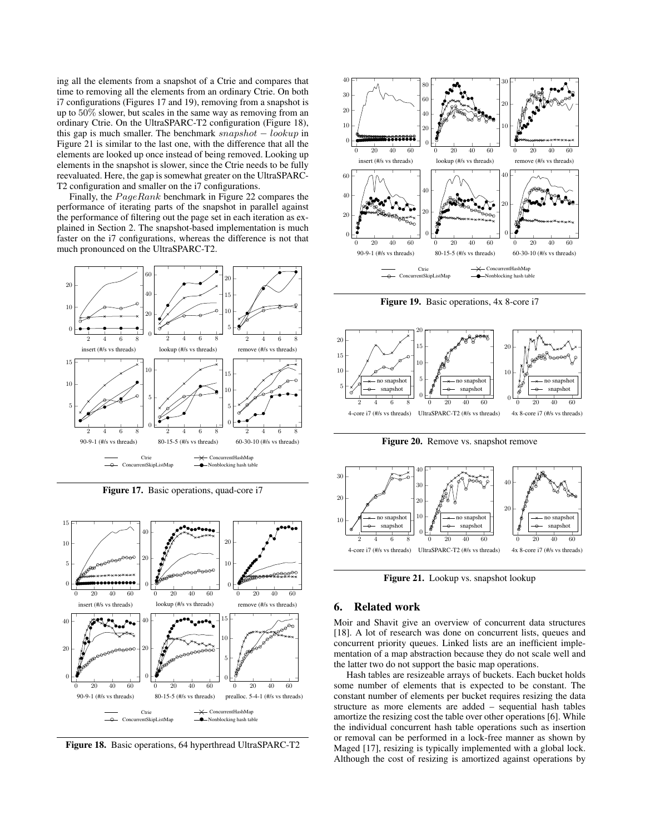ing all the elements from a snapshot of a Ctrie and compares that time to removing all the elements from an ordinary Ctrie. On both i7 configurations (Figures 17 and 19), removing from a snapshot is up to 50% slower, but scales in the same way as removing from an ordinary Ctrie. On the UltraSPARC-T2 configuration (Figure 18), this gap is much smaller. The benchmark snapshot − lookup in Figure 21 is similar to the last one, with the difference that all the elements are looked up once instead of being removed. Looking up elements in the snapshot is slower, since the Ctrie needs to be fully reevaluated. Here, the gap is somewhat greater on the UltraSPARC-T2 configuration and smaller on the i7 configurations.

Finally, the PageRank benchmark in Figure 22 compares the performance of iterating parts of the snapshot in parallel against the performance of filtering out the page set in each iteration as explained in Section 2. The snapshot-based implementation is much faster on the i7 configurations, whereas the difference is not that much pronounced on the UltraSPARC-T2.







Figure 18. Basic operations, 64 hyperthread UltraSPARC-T2



Figure 19. Basic operations, 4x 8-core i7



Figure 20. Remove vs. snapshot remove



Figure 21. Lookup vs. snapshot lookup

# 6. Related work

Moir and Shavit give an overview of concurrent data structures [18]. A lot of research was done on concurrent lists, queues and concurrent priority queues. Linked lists are an inefficient implementation of a map abstraction because they do not scale well and the latter two do not support the basic map operations.

Hash tables are resizeable arrays of buckets. Each bucket holds some number of elements that is expected to be constant. The constant number of elements per bucket requires resizing the data structure as more elements are added – sequential hash tables amortize the resizing cost the table over other operations [6]. While the individual concurrent hash table operations such as insertion or removal can be performed in a lock-free manner as shown by Maged [17], resizing is typically implemented with a global lock. Although the cost of resizing is amortized against operations by